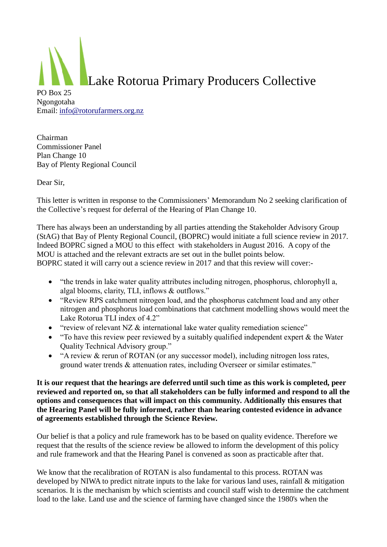

Chairman Commissioner Panel Plan Change 10 Bay of Plenty Regional Council

Dear Sir,

This letter is written in response to the Commissioners' Memorandum No 2 seeking clarification of the Collective's request for deferral of the Hearing of Plan Change 10.

There has always been an understanding by all parties attending the Stakeholder Advisory Group (StAG) that Bay of Plenty Regional Council, (BOPRC) would initiate a full science review in 2017. Indeed BOPRC signed a MOU to this effect with stakeholders in August 2016. A copy of the MOU is attached and the relevant extracts are set out in the bullet points below. BOPRC stated it will carry out a science review in 2017 and that this review will cover:-

- "the trends in lake water quality attributes including nitrogen, phosphorus, chlorophyll a, algal blooms, clarity, TLI, inflows & outflows."
- "Review RPS catchment nitrogen load, and the phosphorus catchment load and any other nitrogen and phosphorus load combinations that catchment modelling shows would meet the Lake Rotorua TLI index of 4.2"
- "review of relevant NZ & international lake water quality remediation science"
- "To have this review peer reviewed by a suitably qualified independent expert & the Water Quality Technical Advisory group."
- "A review & rerun of ROTAN (or any successor model), including nitrogen loss rates, ground water trends & attenuation rates, including Overseer or similar estimates."

**It is our request that the hearings are deferred until such time as this work is completed, peer reviewed and reported on, so that all stakeholders can be fully informed and respond to all the options and consequences that will impact on this community. Additionally this ensures that the Hearing Panel will be fully informed, rather than hearing contested evidence in advance of agreements established through the Science Review.**

Our belief is that a policy and rule framework has to be based on quality evidence. Therefore we request that the results of the science review be allowed to inform the development of this policy and rule framework and that the Hearing Panel is convened as soon as practicable after that.

We know that the recalibration of ROTAN is also fundamental to this process. ROTAN was developed by NIWA to predict nitrate inputs to the lake for various land uses, rainfall  $\&$  mitigation scenarios. It is the mechanism by which scientists and council staff wish to determine the catchment load to the lake. Land use and the science of farming have changed since the 1980's when the